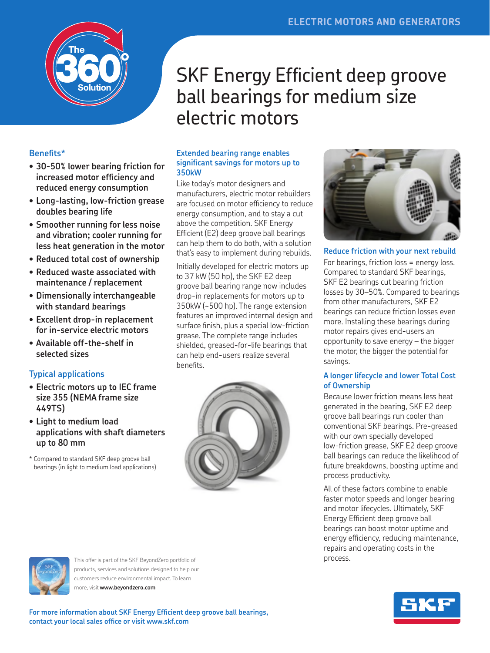

#### **Benefits\***

- **• 30-50% lower bearing friction for increased motor efficiency and reduced energy consumption**
- **• Long-lasting, low-friction grease doubles bearing life**
- **• Smoother running for less noise and vibration; cooler running for less heat generation in the motor**
- **• Reduced total cost of ownership**
- **• Reduced waste associated with maintenance / replacement**
- **• Dimensionally interchangeable with standard bearings**
- **• Excellent drop-in replacement for in-service electric motors**
- **• Available off-the-shelf in selected sizes**

#### **Typical applications**

- **• Electric motors up to IEC frame size 355 (NEMA frame size 449TS)**
- **• Light to medium load applications with shaft diameters up to 80 mm**
- \* Compared to standard SKF deep groove ball bearings (in light to medium load applications)

# SKF Energy Efficient deep groove ball bearings for medium size electric motors

#### **Extended bearing range enables significant savings for motors up to 350kW**

Like today's motor designers and manufacturers, electric motor rebuilders are focused on motor efficiency to reduce energy consumption, and to stay a cut above the competition. SKF Energy Efficient (E2) deep groove ball bearings can help them to do both, with a solution that's easy to implement during rebuilds.

Initially developed for electric motors up to 37 kW (50 hp), the SKF E2 deep groove ball bearing range now includes drop-in replacements for motors up to 350kW (~500 hp). The range extension features an improved internal design and surface finish, plus a special low-friction grease. The complete range includes shielded, greased-for-life bearings that can help end-users realize several benefits.





**Reduce friction with your next rebuild**

For bearings, friction loss = energy loss. Compared to standard SKF bearings, SKF E2 bearings cut bearing friction losses by 30–50%. Compared to bearings from other manufacturers, SKF E2 bearings can reduce friction losses even more. Installing these bearings during motor repairs gives end-users an opportunity to save energy – the bigger the motor, the bigger the potential for savings.

#### **A longer lifecycle and lower Total Cost of Ownership**

Because lower friction means less heat generated in the bearing, SKF E2 deep groove ball bearings run cooler than conventional SKF bearings. Pre-greased with our own specially developed low-friction grease, SKF E2 deep groove ball bearings can reduce the likelihood of future breakdowns, boosting uptime and process productivity.

All of these factors combine to enable faster motor speeds and longer bearing and motor lifecycles. Ultimately, SKF Energy Efficient deep groove ball bearings can boost motor uptime and energy efficiency, reducing maintenance, repairs and operating costs in the process.



This offer is part of the SKF BeyondZero portfolio of products, services and solutions designed to help our customers reduce environmental impact. To learn more, visit **www.beyondzero.com**

**For more information about SKF Energy Efficient deep groove ball bearings, contact your local sales office or visit www.skf.com**